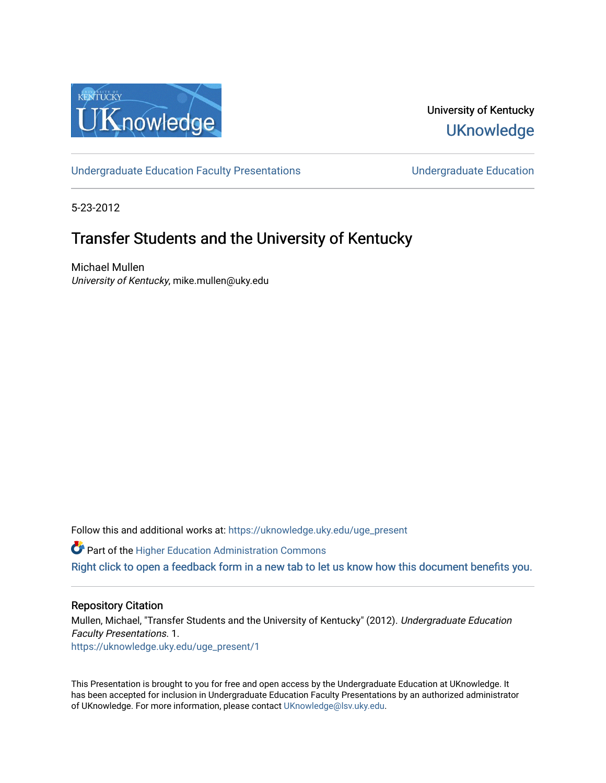

University of Kentucky **UKnowledge** 

[Undergraduate Education Faculty Presentations](https://uknowledge.uky.edu/uge_present) **Exercise Server Education** Undergraduate Education

5-23-2012

#### Transfer Students and the University of Kentucky

Michael Mullen University of Kentucky, mike.mullen@uky.edu

Follow this and additional works at: [https://uknowledge.uky.edu/uge\\_present](https://uknowledge.uky.edu/uge_present?utm_source=uknowledge.uky.edu%2Fuge_present%2F1&utm_medium=PDF&utm_campaign=PDFCoverPages) 

**Part of the Higher Education Administration Commons** 

[Right click to open a feedback form in a new tab to let us know how this document benefits you.](https://uky.az1.qualtrics.com/jfe/form/SV_9mq8fx2GnONRfz7)

#### Repository Citation

Mullen, Michael, "Transfer Students and the University of Kentucky" (2012). Undergraduate Education Faculty Presentations. 1. [https://uknowledge.uky.edu/uge\\_present/1](https://uknowledge.uky.edu/uge_present/1?utm_source=uknowledge.uky.edu%2Fuge_present%2F1&utm_medium=PDF&utm_campaign=PDFCoverPages) 

This Presentation is brought to you for free and open access by the Undergraduate Education at UKnowledge. It has been accepted for inclusion in Undergraduate Education Faculty Presentations by an authorized administrator of UKnowledge. For more information, please contact [UKnowledge@lsv.uky.edu.](mailto:UKnowledge@lsv.uky.edu)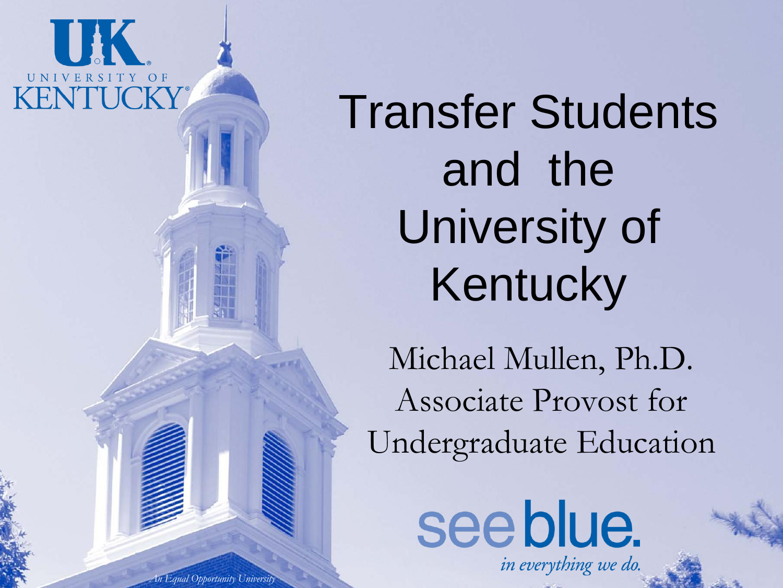

Transfer Students and the University of Kentucky

Michael Mullen, Ph.D. Associate Provost for Undergraduate Education

see blue.

in everything we do.

*An Equal Opportunity University*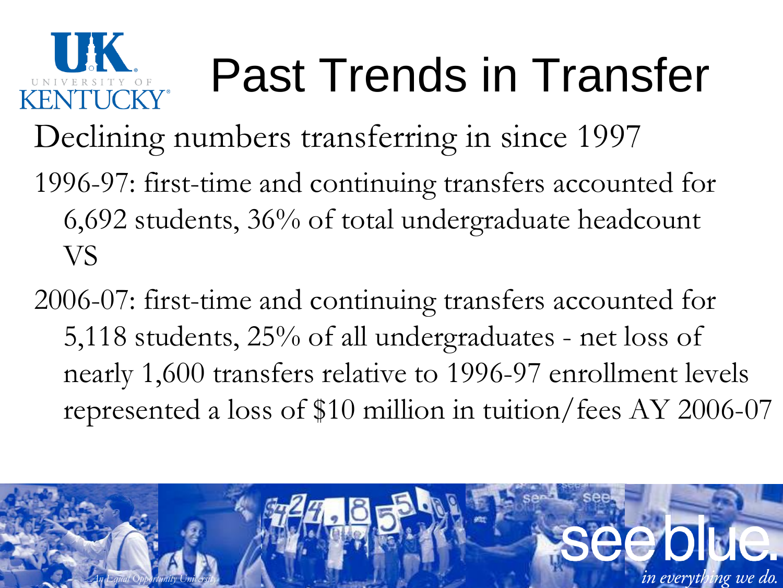

# Past Trends in Transfer

- Declining numbers transferring in since 1997
- 1996-97: first-time and continuing transfers accounted for 6,692 students, 36% of total undergraduate headcount VS
- 2006-07: first-time and continuing transfers accounted for 5,118 students, 25% of all undergraduates - net loss of nearly 1,600 transfers relative to 1996-97 enrollment levels represented a loss of \$10 million in tuition/fees AY 2006-07

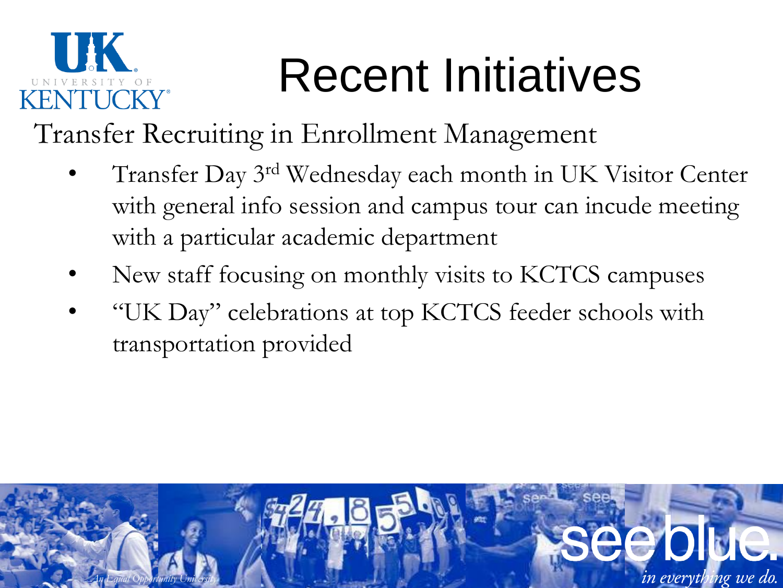

## Recent Initiatives

Transfer Recruiting in Enrollment Management

- Transfer Day 3rd Wednesday each month in UK Visitor Center with general info session and campus tour can incude meeting with a particular academic department
- New staff focusing on monthly visits to KCTCS campuses
- "UK Day" celebrations at top KCTCS feeder schools with transportation provided

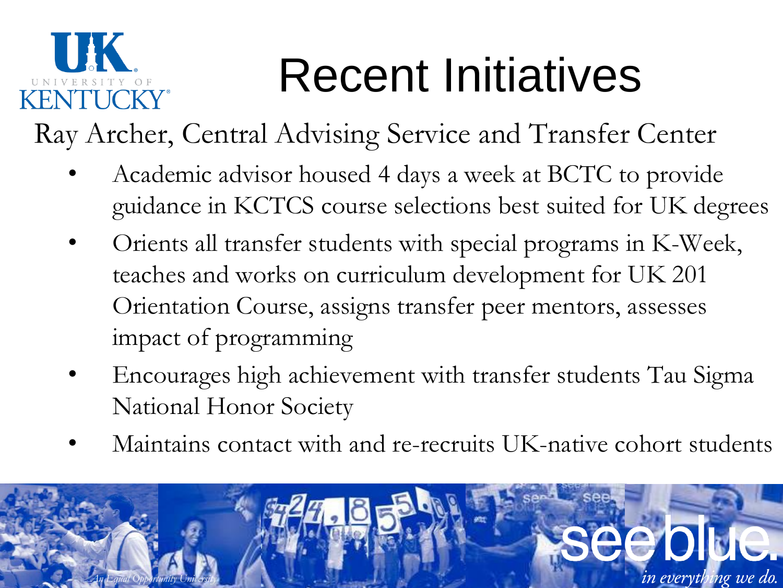## Recent Initiatives

Ray Archer, Central Advising Service and Transfer Center

- Academic advisor housed 4 days a week at BCTC to provide guidance in KCTCS course selections best suited for UK degrees
- Orients all transfer students with special programs in K-Week, teaches and works on curriculum development for UK 201 Orientation Course, assigns transfer peer mentors, assesses impact of programming
- Encourages high achievement with transfer students Tau Sigma National Honor Society
- Maintains contact with and re-recruits UK-native cohort students